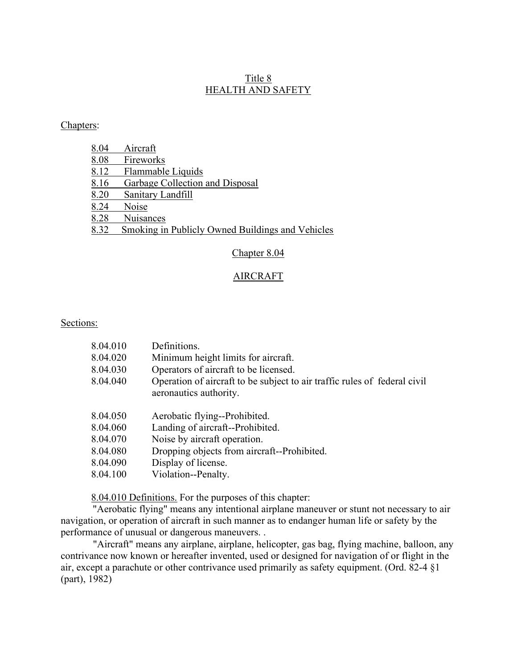# Title 8 HEALTH AND SAFETY

## Chapters:

| 8.04 | Aircraft                                         |
|------|--------------------------------------------------|
| 8.08 | Fireworks                                        |
| 8.12 | Flammable Liquids                                |
| 8.16 | Garbage Collection and Disposal                  |
| 8.20 | Sanitary Landfill                                |
| 8.24 | Noise                                            |
| 8.28 | <b>Nuisances</b>                                 |
| 8.32 | Smoking in Publicly Owned Buildings and Vehicles |

# Chapter 8.04

## AIRCRAFT

### Sections:

| 8.04.010 | Definitions.                                                                                        |
|----------|-----------------------------------------------------------------------------------------------------|
| 8.04.020 | Minimum height limits for aircraft.                                                                 |
| 8.04.030 | Operators of aircraft to be licensed.                                                               |
| 8.04.040 | Operation of aircraft to be subject to air traffic rules of federal civil<br>aeronautics authority. |
| 8.04.050 | Aerobatic flying--Prohibited.                                                                       |
| 8.04.060 | Landing of aircraft--Prohibited.                                                                    |
| 8.04.070 | Noise by aircraft operation.                                                                        |
| 8.04.080 | Dropping objects from aircraft--Prohibited.                                                         |
| 8.04.090 | Display of license.                                                                                 |
| 8.04.100 | Violation--Penalty.                                                                                 |

8.04.010 Definitions. For the purposes of this chapter:

"Aerobatic flying" means any intentional airplane maneuver or stunt not necessary to air navigation, or operation of aircraft in such manner as to endanger human life or safety by the performance of unusual or dangerous maneuvers. .

"Aircraft" means any airplane, airplane, helicopter, gas bag, flying machine, balloon, any contrivance now known or hereafter invented, used or designed for navigation of or flight in the air, except a parachute or other contrivance used primarily as safety equipment. (Ord. 82-4 §1 (part), 1982)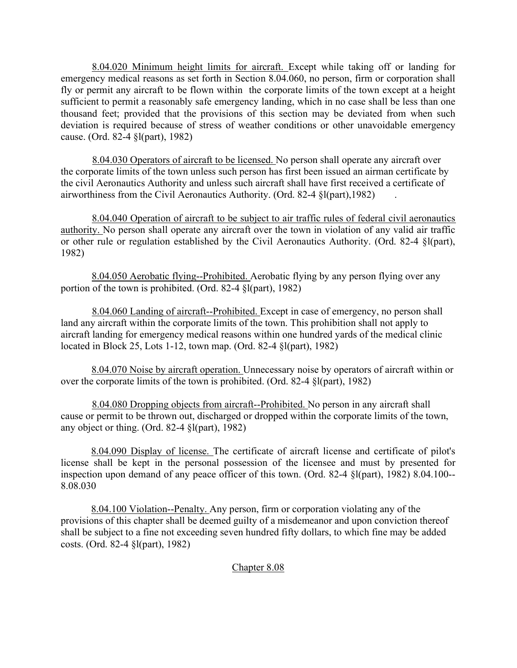8.04.020 Minimum height limits for aircraft. Except while taking off or landing for emergency medical reasons as set forth in Section 8.04.060, no person, firm or corporation shall fly or permit any aircraft to be flown within the corporate limits of the town except at a height sufficient to permit a reasonably safe emergency landing, which in no case shall be less than one thousand feet; provided that the provisions of this section may be deviated from when such deviation is required because of stress of weather conditions or other unavoidable emergency cause. (Ord. 82-4 §l(part), 1982)

8.04.030 Operators of aircraft to be licensed. No person shall operate any aircraft over the corporate limits of the town unless such person has first been issued an airman certificate by the civil Aeronautics Authority and unless such aircraft shall have first received a certificate of airworthiness from the Civil Aeronautics Authority. (Ord. 82-4 §l(part),1982) .

8.04.040 Operation of aircraft to be subject to air traffic rules of federal civil aeronautics authority. No person shall operate any aircraft over the town in violation of any valid air traffic or other rule or regulation established by the Civil Aeronautics Authority. (Ord. 82-4 §l(part), 1982)

8.04.050 Aerobatic flying--Prohibited. Aerobatic flying by any person flying over any portion of the town is prohibited. (Ord. 82-4 §l(part), 1982)

8.04.060 Landing of aircraft--Prohibited. Except in case of emergency, no person shall land any aircraft within the corporate limits of the town. This prohibition shall not apply to aircraft landing for emergency medical reasons within one hundred yards of the medical clinic located in Block 25, Lots 1-12, town map. (Ord. 82-4 §l(part), 1982)

8.04.070 Noise by aircraft operation. Unnecessary noise by operators of aircraft within or over the corporate limits of the town is prohibited. (Ord. 82-4 §l(part), 1982)

8.04.080 Dropping objects from aircraft--Prohibited. No person in any aircraft shall cause or permit to be thrown out, discharged or dropped within the corporate limits of the town, any object or thing. (Ord. 82-4 §l(part), 1982)

8.04.090 Display of license. The certificate of aircraft license and certificate of pilot's license shall be kept in the personal possession of the licensee and must by presented for inspection upon demand of any peace officer of this town. (Ord. 82-4 §l(part), 1982) 8.04.100-- 8.08.030

 8.04.100 Violation--Penalty. Any person, firm or corporation violating any of the provisions of this chapter shall be deemed guilty of a misdemeanor and upon conviction thereof shall be subject to a fine not exceeding seven hundred fifty dollars, to which fine may be added costs. (Ord. 82-4 §l(part), 1982)

## Chapter 8.08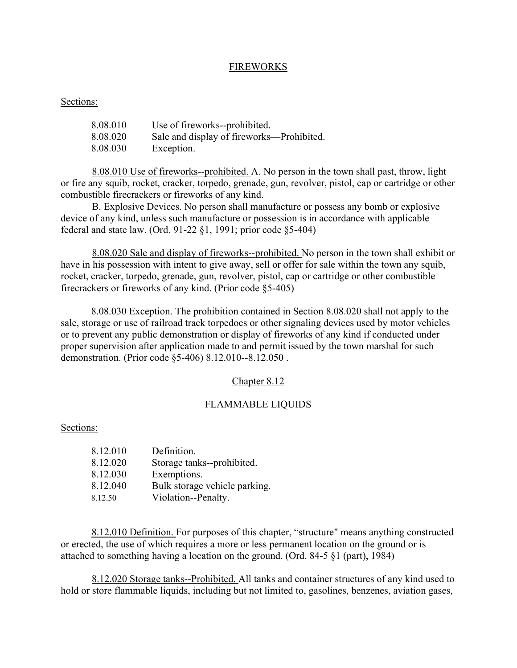### FIREWORKS

### Sections:

| 8.08.010 | Use of fireworks--prohibited.             |
|----------|-------------------------------------------|
| 8.08.020 | Sale and display of fireworks—Prohibited. |
| 8.08.030 | Exception.                                |

8.08.010 Use of fireworks--prohibited. A. No person in the town shall past, throw, light or fire any squib, rocket, cracker, torpedo, grenade, gun, revolver, pistol, cap or cartridge or other combustible firecrackers or fireworks of any kind.

B. Explosive Devices. No person shall manufacture or possess any bomb or explosive device of any kind, unless such manufacture or possession is in accordance with applicable federal and state law. (Ord. 91-22 §1, 1991; prior code §5-404)

8.08.020 Sale and display of fireworks--prohibited. No person in the town shall exhibit or have in his possession with intent to give away, sell or offer for sale within the town any squib, rocket, cracker, torpedo, grenade, gun, revolver, pistol, cap or cartridge or other combustible firecrackers or fireworks of any kind. (Prior code §5-405)

8.08.030 Exception. The prohibition contained in Section 8.08.020 shall not apply to the sale, storage or use of railroad track torpedoes or other signaling devices used by motor vehicles or to prevent any public demonstration or display of fireworks of any kind if conducted under proper supervision after application made to and permit issued by the town marshal for such demonstration. (Prior code §5-406) 8.12.010--8.12.050 .

#### Chapter 8.12

#### FLAMMABLE LIQUIDS

#### Sections:

| 8.12.010 | Definition.                   |
|----------|-------------------------------|
| 8.12.020 | Storage tanks--prohibited.    |
| 8.12.030 | Exemptions.                   |
| 8.12.040 | Bulk storage vehicle parking. |
| 8.12.50  | Violation--Penalty.           |

 8.12.010 Definition. For purposes of this chapter, "structure" means anything constructed or erected, the use of which requires a more or less permanent location on the ground or is attached to something having a location on the ground. (Ord. 84-5 §1 (part), 1984)

8.12.020 Storage tanks--Prohibited. All tanks and container structures of any kind used to hold or store flammable liquids, including but not limited to, gasolines, benzenes, aviation gases,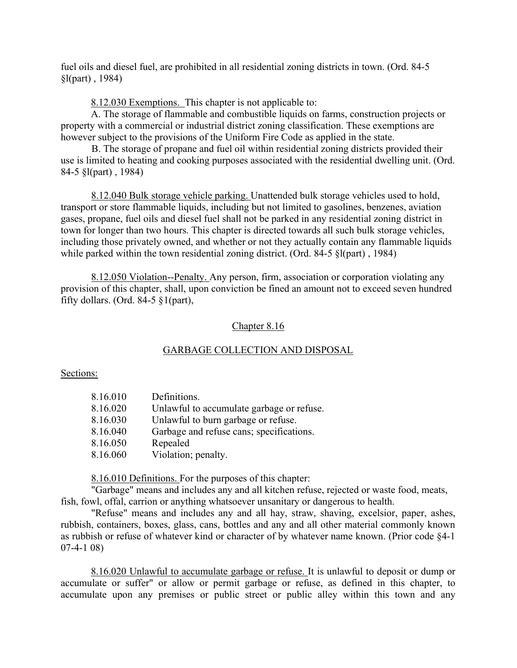fuel oils and diesel fuel, are prohibited in all residential zoning districts in town. (Ord. 84-5 §l(part) , 1984)

8.12.030 Exemptions. This chapter is not applicable to:

A. The storage of flammable and combustible liquids on farms, construction projects or property with a commercial or industrial district zoning classification. These exemptions are however subject to the provisions of the Uniform Fire Code as applied in the state.

B. The storage of propane and fuel oil within residential zoning districts provided their use is limited to heating and cooking purposes associated with the residential dwelling unit. (Ord. 84-5 §l(part) , 1984)

8.12.040 Bulk storage vehicle parking. Unattended bulk storage vehicles used to hold, transport or store flammable liquids, including but not limited to gasolines, benzenes, aviation gases, propane, fuel oils and diesel fuel shall not be parked in any residential zoning district in town for longer than two hours. This chapter is directed towards all such bulk storage vehicles, including those privately owned, and whether or not they actually contain any flammable liquids while parked within the town residential zoning district. (Ord. 84-5 §l(part) , 1984)

8.12.050 Violation--Penalty. Any person, firm, association or corporation violating any provision of this chapter, shall, upon conviction be fined an amount not to exceed seven hundred fifty dollars. (Ord. 84-5  $\S1$ (part),

#### Chapter 8.16

#### GARBAGE COLLECTION AND DISPOSAL

Sections:

| 8.16.010 | Definitions.                              |
|----------|-------------------------------------------|
| 8.16.020 | Unlawful to accumulate garbage or refuse. |
| 8.16.030 | Unlawful to burn garbage or refuse.       |
| 8.16.040 | Garbage and refuse cans; specifications.  |
| 8.16.050 | Repealed                                  |
| 8.16.060 | Violation; penalty.                       |

8.16.010 Definitions. For the purposes of this chapter:

"Garbage" means and includes any and all kitchen refuse, rejected or waste food, meats, fish, fowl, offal, carrion or anything whatsoever unsanitary or dangerous to health.

"Refuse" means and includes any and all hay, straw, shaving, excelsior, paper, ashes, rubbish, containers, boxes, glass, cans, bottles and any and all other material commonly known as rubbish or refuse of whatever kind or character of by whatever name known. (Prior code §4-1 07-4-1 08)

8.16.020 Unlawful to accumulate garbage or refuse. It is unlawful to deposit or dump or accumulate or suffer" or allow or permit garbage or refuse, as defined in this chapter, to accumulate upon any premises or public street or public alley within this town and any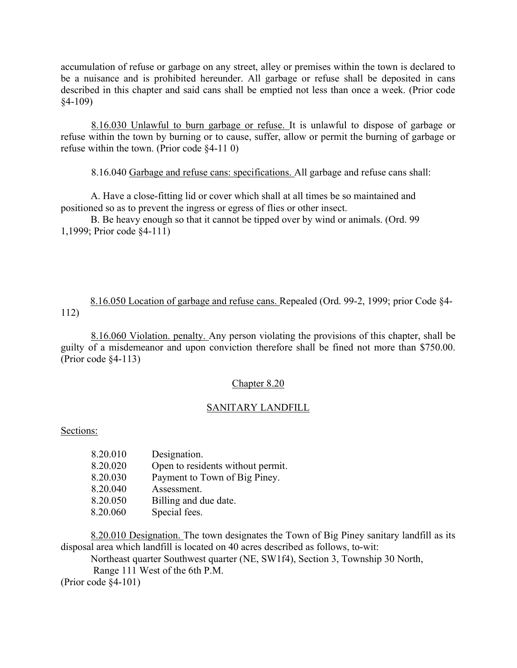accumulation of refuse or garbage on any street, alley or premises within the town is declared to be a nuisance and is prohibited hereunder. All garbage or refuse shall be deposited in cans described in this chapter and said cans shall be emptied not less than once a week. (Prior code §4-109)

8.16.030 Unlawful to burn garbage or refuse. It is unlawful to dispose of garbage or refuse within the town by burning or to cause, suffer, allow or permit the burning of garbage or refuse within the town. (Prior code §4-11 0)

8.16.040 Garbage and refuse cans: specifications. All garbage and refuse cans shall:

 A. Have a close-fitting lid or cover which shall at all times be so maintained and positioned so as to prevent the ingress or egress of flies or other insect.

 B. Be heavy enough so that it cannot be tipped over by wind or animals. (Ord. 99 1,1999; Prior code §4-111)

8.16.050 Location of garbage and refuse cans. Repealed (Ord. 99-2, 1999; prior Code §4- 112)

8.16.060 Violation. penalty. Any person violating the provisions of this chapter, shall be guilty of a misdemeanor and upon conviction therefore shall be fined not more than \$750.00. (Prior code §4-113)

## Chapter 8.20

## SANITARY LANDFILL

#### Sections:

| 8.20.010 | Designation.                      |
|----------|-----------------------------------|
| 8.20.020 | Open to residents without permit. |
| 8.20.030 | Payment to Town of Big Piney.     |
| 8.20.040 | Assessment.                       |
| 8.20.050 | Billing and due date.             |
| 8.20.060 | Special fees.                     |

8.20.010 Designation. The town designates the Town of Big Piney sanitary landfill as its disposal area which landfill is located on 40 acres described as follows, to-wit:

Northeast quarter Southwest quarter (NE, SW1f4), Section 3, Township 30 North,

Range 111 West of the 6th P.M.

(Prior code §4-101)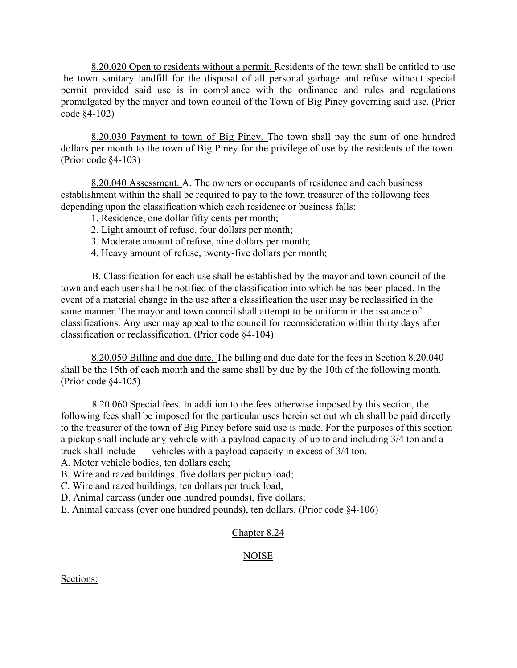8.20.020 Open to residents without a permit. Residents of the town shall be entitled to use the town sanitary landfill for the disposal of all personal garbage and refuse without special permit provided said use is in compliance with the ordinance and rules and regulations promulgated by the mayor and town council of the Town of Big Piney governing said use. (Prior code §4-102)

 8.20.030 Payment to town of Big Piney. The town shall pay the sum of one hundred dollars per month to the town of Big Piney for the privilege of use by the residents of the town. (Prior code §4-103)

8.20.040 Assessment. A. The owners or occupants of residence and each business establishment within the shall be required to pay to the town treasurer of the following fees depending upon the classification which each residence or business falls:

- 1. Residence, one dollar fifty cents per month;
- 2. Light amount of refuse, four dollars per month;
- 3. Moderate amount of refuse, nine dollars per month;
- 4. Heavy amount of refuse, twenty-five dollars per month;

B. Classification for each use shall be established by the mayor and town council of the town and each user shall be notified of the classification into which he has been placed. In the event of a material change in the use after a classification the user may be reclassified in the same manner. The mayor and town council shall attempt to be uniform in the issuance of classifications. Any user may appeal to the council for reconsideration within thirty days after classification or reclassification. (Prior code §4-104)

8.20.050 Billing and due date. The billing and due date for the fees in Section 8.20.040 shall be the 15th of each month and the same shall by due by the 10th of the following month. (Prior code §4-105)

8.20.060 Special fees. In addition to the fees otherwise imposed by this section, the following fees shall be imposed for the particular uses herein set out which shall be paid directly to the treasurer of the town of Big Piney before said use is made. For the purposes of this section a pickup shall include any vehicle with a payload capacity of up to and including 3/4 ton and a truck shall include vehicles with a payload capacity in excess of 3/4 ton.

A. Motor vehicle bodies, ten dollars each;

- B. Wire and razed buildings, five dollars per pickup load;
- C. Wire and razed buildings, ten dollars per truck load;
- D. Animal carcass (under one hundred pounds), five dollars;

E. Animal carcass (over one hundred pounds), ten dollars. (Prior code §4-106)

# Chapter 8.24

# NOISE

Sections: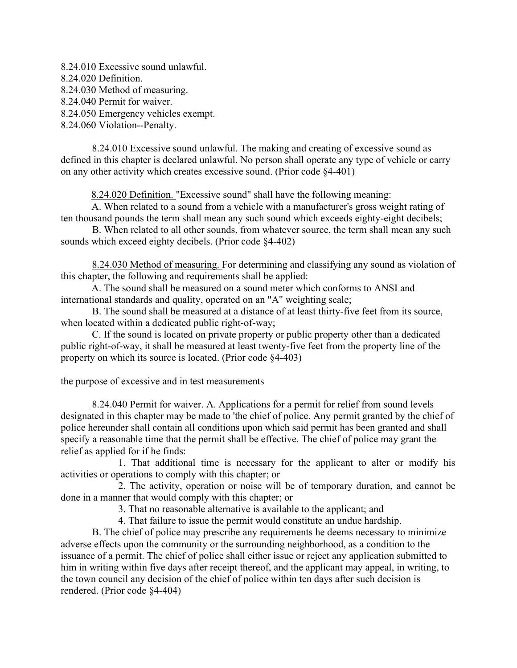8.24.010 Excessive sound unlawful. 8.24.020 Definition. 8.24.030 Method of measuring. 8.24.040 Permit for waiver. 8.24.050 Emergency vehicles exempt. 8.24.060 Violation--Penalty.

8.24.010 Excessive sound unlawful. The making and creating of excessive sound as defined in this chapter is declared unlawful. No person shall operate any type of vehicle or carry on any other activity which creates excessive sound. (Prior code §4-401)

8.24.020 Definition. "Excessive sound" shall have the following meaning:

A. When related to a sound from a vehicle with a manufacturer's gross weight rating of ten thousand pounds the term shall mean any such sound which exceeds eighty-eight decibels;

B. When related to all other sounds, from whatever source, the term shall mean any such sounds which exceed eighty decibels. (Prior code §4-402)

8.24.030 Method of measuring. For determining and classifying any sound as violation of this chapter, the following and requirements shall be applied:

A. The sound shall be measured on a sound meter which conforms to ANSI and international standards and quality, operated on an "A" weighting scale;

B. The sound shall be measured at a distance of at least thirty-five feet from its source, when located within a dedicated public right-of-way;

C. If the sound is located on private property or public property other than a dedicated public right-of-way, it shall be measured at least twenty-five feet from the property line of the property on which its source is located. (Prior code §4-403)

the purpose of excessive and in test measurements

8.24.040 Permit for waiver. A. Applications for a permit for relief from sound levels designated in this chapter may be made to 'the chief of police. Any permit granted by the chief of police hereunder shall contain all conditions upon which said permit has been granted and shall specify a reasonable time that the permit shall be effective. The chief of police may grant the relief as applied for if he finds:

 1. That additional time is necessary for the applicant to alter or modify his activities or operations to comply with this chapter; or

 2. The activity, operation or noise will be of temporary duration, and cannot be done in a manner that would comply with this chapter; or

3. That no reasonable alternative is available to the applicant; and

4. That failure to issue the permit would constitute an undue hardship.

B. The chief of police may prescribe any requirements he deems necessary to minimize adverse effects upon the community or the surrounding neighborhood, as a condition to the issuance of a permit. The chief of police shall either issue or reject any application submitted to him in writing within five days after receipt thereof, and the applicant may appeal, in writing, to the town council any decision of the chief of police within ten days after such decision is rendered. (Prior code §4-404)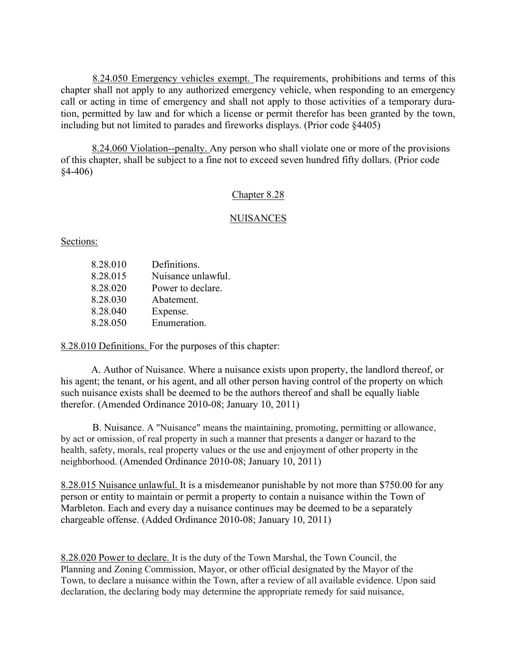8.24.050 Emergency vehicles exempt. The requirements, prohibitions and terms of this chapter shall not apply to any authorized emergency vehicle, when responding to an emergency call or acting in time of emergency and shall not apply to those activities of a temporary duration, permitted by law and for which a license or permit therefor has been granted by the town, including but not limited to parades and fireworks displays. (Prior code §4405)

8.24.060 Violation--penalty. Any person who shall violate one or more of the provisions of this chapter, shall be subject to a fine not to exceed seven hundred fifty dollars. (Prior code §4-406)

## Chapter 8.28

### **NUISANCES**

Sections:

| 8.28.010 | Definitions.       |
|----------|--------------------|
| 8.28.015 | Nuisance unlawful. |
| 8.28.020 | Power to declare.  |
| 8.28.030 | Abatement.         |
| 8.28.040 | Expense.           |
| 8.28.050 | Enumeration.       |

8.28.010 Definitions. For the purposes of this chapter:

A. Author of Nuisance. Where a nuisance exists upon property, the landlord thereof, or his agent; the tenant, or his agent, and all other person having control of the property on which such nuisance exists shall be deemed to be the authors thereof and shall be equally liable therefor. (Amended Ordinance 2010-08; January 10, 2011)

B. Nuisance. A "Nuisance" means the maintaining, promoting, permitting or allowance, by act or omission, of real property in such a manner that presents a danger or hazard to the health, safety, morals, real property values or the use and enjoyment of other property in the neighborhood. (Amended Ordinance 2010-08; January 10, 2011)

8.28.015 Nuisance unlawful. It is a misdemeanor punishable by not more than \$750.00 for any person or entity to maintain or permit a property to contain a nuisance within the Town of Marbleton. Each and every day a nuisance continues may be deemed to be a separately chargeable offense. (Added Ordinance 2010-08; January 10, 2011)

8.28.020 Power to declare. It is the duty of the Town Marshal, the Town Council, the Planning and Zoning Commission, Mayor, or other official designated by the Mayor of the Town, to declare a nuisance within the Town, after a review of all available evidence. Upon said declaration, the declaring body may determine the appropriate remedy for said nuisance,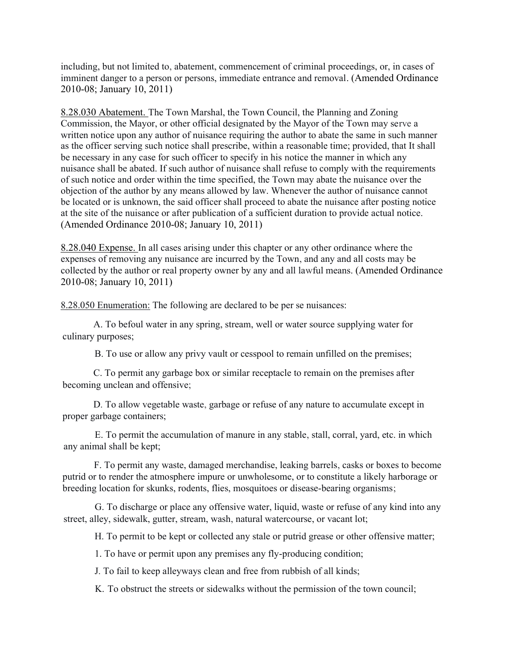including, but not limited to, abatement, commencement of criminal proceedings, or, in cases of imminent danger to a person or persons, immediate entrance and removal. (Amended Ordinance 2010-08; January 10, 2011)

8.28.030 Abatement. The Town Marshal, the Town Council, the Planning and Zoning Commission, the Mayor, or other official designated by the Mayor of the Town may serve a written notice upon any author of nuisance requiring the author to abate the same in such manner as the officer serving such notice shall prescribe, within a reasonable time; provided, that It shall be necessary in any case for such officer to specify in his notice the manner in which any nuisance shall be abated. If such author of nuisance shall refuse to comply with the requirements of such notice and order within the time specified, the Town may abate the nuisance over the objection of the author by any means allowed by law. Whenever the author of nuisance cannot be located or is unknown, the said officer shall proceed to abate the nuisance after posting notice at the site of the nuisance or after publication of a sufficient duration to provide actual notice. (Amended Ordinance 2010-08; January 10, 2011)

8.28.040 Expense. In all cases arising under this chapter or any other ordinance where the expenses of removing any nuisance are incurred by the Town, and any and all costs may be collected by the author or real property owner by any and all lawful means. (Amended Ordinance 2010-08; January 10, 2011)

8.28.050 Enumeration: The following are declared to be per se nuisances:

A. To befoul water in any spring, stream, well or water source supplying water for culinary purposes;

B. To use or allow any privy vault or cesspool to remain unfilled on the premises;

C. To permit any garbage box or similar receptacle to remain on the premises after becoming unclean and offensive;

D. To allow vegetable waste, garbage or refuse of any nature to accumulate except in proper garbage containers;

E. To permit the accumulation of manure in any stable, stall, corral, yard, etc. in which any animal shall be kept;

F. To permit any waste, damaged merchandise, leaking barrels, casks or boxes to become putrid or to render the atmosphere impure or unwholesome, or to constitute a likely harborage or breeding location for skunks, rodents, flies, mosquitoes or disease-bearing organisms;

G. To discharge or place any offensive water, liquid, waste or refuse of any kind into any street, alley, sidewalk, gutter, stream, wash, natural watercourse, or vacant lot;

H. To permit to be kept or collected any stale or putrid grease or other offensive matter;

1. To have or permit upon any premises any fly-producing condition;

J. To fail to keep alleyways clean and free from rubbish of all kinds;

K. To obstruct the streets or sidewalks without the permission of the town council;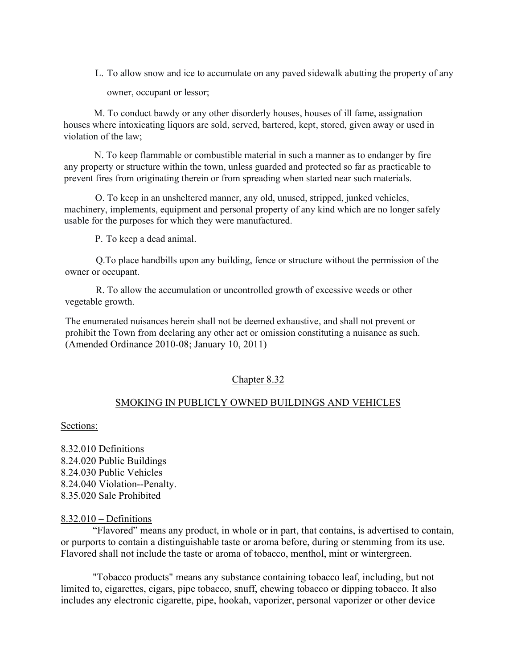L. To allow snow and ice to accumulate on any paved sidewalk abutting the property of any

owner, occupant or lessor;

M. To conduct bawdy or any other disorderly houses, houses of ill fame, assignation houses where intoxicating liquors are sold, served, bartered, kept, stored, given away or used in violation of the law;

N. To keep flammable or combustible material in such a manner as to endanger by fire any property or structure within the town, unless guarded and protected so far as practicable to prevent fires from originating therein or from spreading when started near such materials.

O. To keep in an unsheltered manner, any old, unused, stripped, junked vehicles, machinery, implements, equipment and personal property of any kind which are no longer safely usable for the purposes for which they were manufactured.

P. To keep a dead animal.

Q.To place handbills upon any building, fence or structure without the permission of the owner or occupant.

R. To allow the accumulation or uncontrolled growth of excessive weeds or other vegetable growth.

The enumerated nuisances herein shall not be deemed exhaustive, and shall not prevent or prohibit the Town from declaring any other act or omission constituting a nuisance as such. (Amended Ordinance 2010-08; January 10, 2011)

#### Chapter 8.32

#### SMOKING IN PUBLICLY OWNED BUILDINGS AND VEHICLES

Sections:

8.32.010 Definitions 8.24.020 Public Buildings 8.24.030 Public Vehicles 8.24.040 Violation--Penalty. 8.35.020 Sale Prohibited

#### $8.32.010 -$ Definitions

"Flavored" means any product, in whole or in part, that contains, is advertised to contain, or purports to contain a distinguishable taste or aroma before, during or stemming from its use. Flavored shall not include the taste or aroma of tobacco, menthol, mint or wintergreen.

"Tobacco products" means any substance containing tobacco leaf, including, but not limited to, cigarettes, cigars, pipe tobacco, snuff, chewing tobacco or dipping tobacco. It also includes any electronic cigarette, pipe, hookah, vaporizer, personal vaporizer or other device